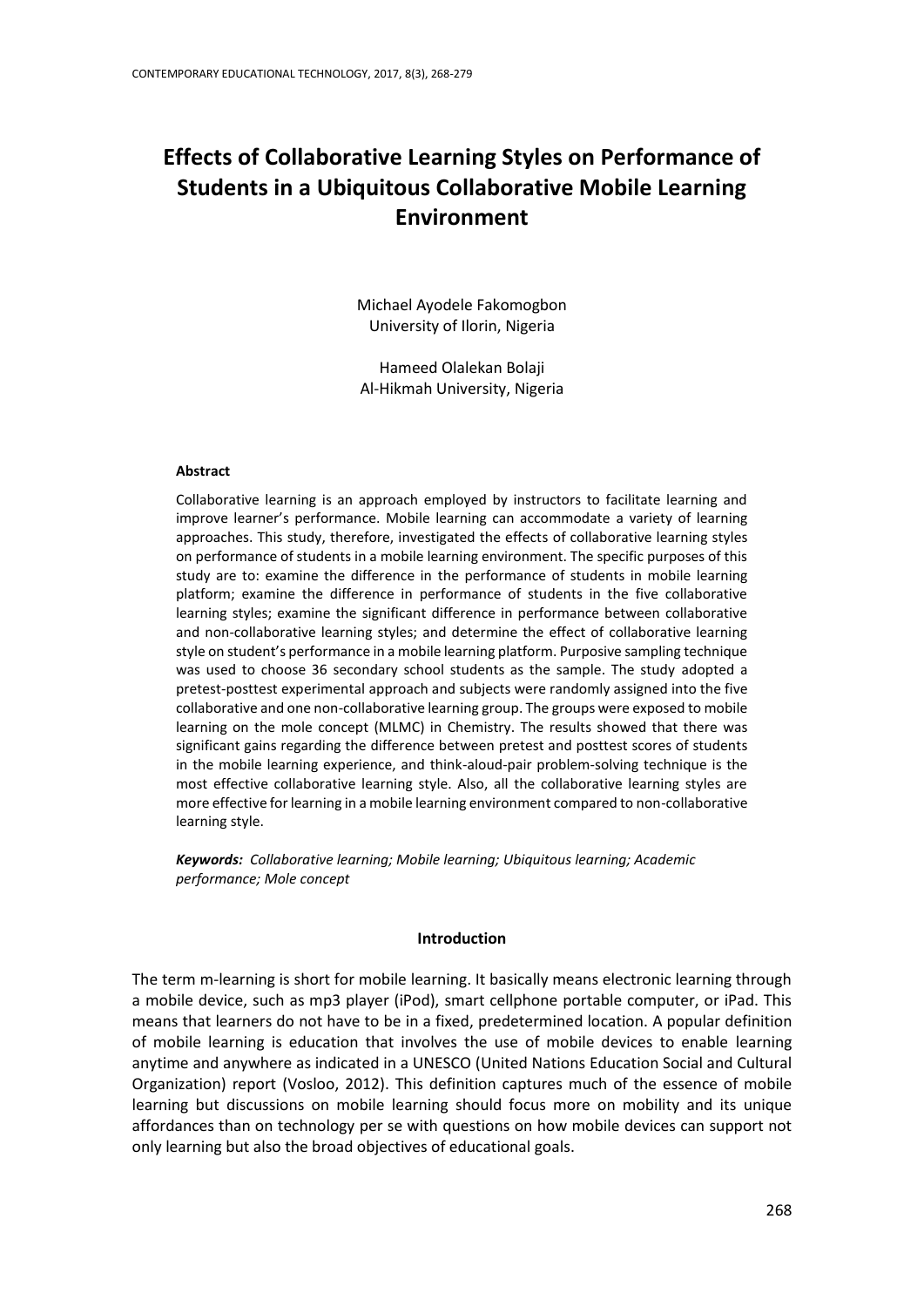# **Effects of Collaborative Learning Styles on Performance of Students in a Ubiquitous Collaborative Mobile Learning Environment**

Michael Ayodele Fakomogbon University of Ilorin, Nigeria

Hameed Olalekan Bolaji Al-Hikmah University, Nigeria

#### **Abstract**

Collaborative learning is an approach employed by instructors to facilitate learning and improve learner's performance. Mobile learning can accommodate a variety of learning approaches. This study, therefore, investigated the effects of collaborative learning styles on performance of students in a mobile learning environment. The specific purposes of this study are to: examine the difference in the performance of students in mobile learning platform; examine the difference in performance of students in the five collaborative learning styles; examine the significant difference in performance between collaborative and non-collaborative learning styles; and determine the effect of collaborative learning style on student's performance in a mobile learning platform. Purposive sampling technique was used to choose 36 secondary school students as the sample. The study adopted a pretest-posttest experimental approach and subjects were randomly assigned into the five collaborative and one non-collaborative learning group. The groups were exposed to mobile learning on the mole concept (MLMC) in Chemistry. The results showed that there was significant gains regarding the difference between pretest and posttest scores of students in the mobile learning experience, and think-aloud-pair problem-solving technique is the most effective collaborative learning style. Also, all the collaborative learning styles are more effective for learning in a mobile learning environment compared to non-collaborative learning style.

*Keywords: Collaborative learning; Mobile learning; Ubiquitous learning; Academic performance; Mole concept*

#### **Introduction**

The term m-learning is short for mobile learning. It basically means electronic learning through a mobile device, such as mp3 player (iPod), smart cellphone portable computer, or iPad. This means that learners do not have to be in a fixed, predetermined location. A popular definition of mobile learning is education that involves the use of mobile devices to enable learning anytime and anywhere as indicated in a UNESCO (United Nations Education Social and Cultural Organization) report (Vosloo, 2012). This definition captures much of the essence of mobile learning but discussions on mobile learning should focus more on mobility and its unique affordances than on technology per se with questions on how mobile devices can support not only learning but also the broad objectives of educational goals.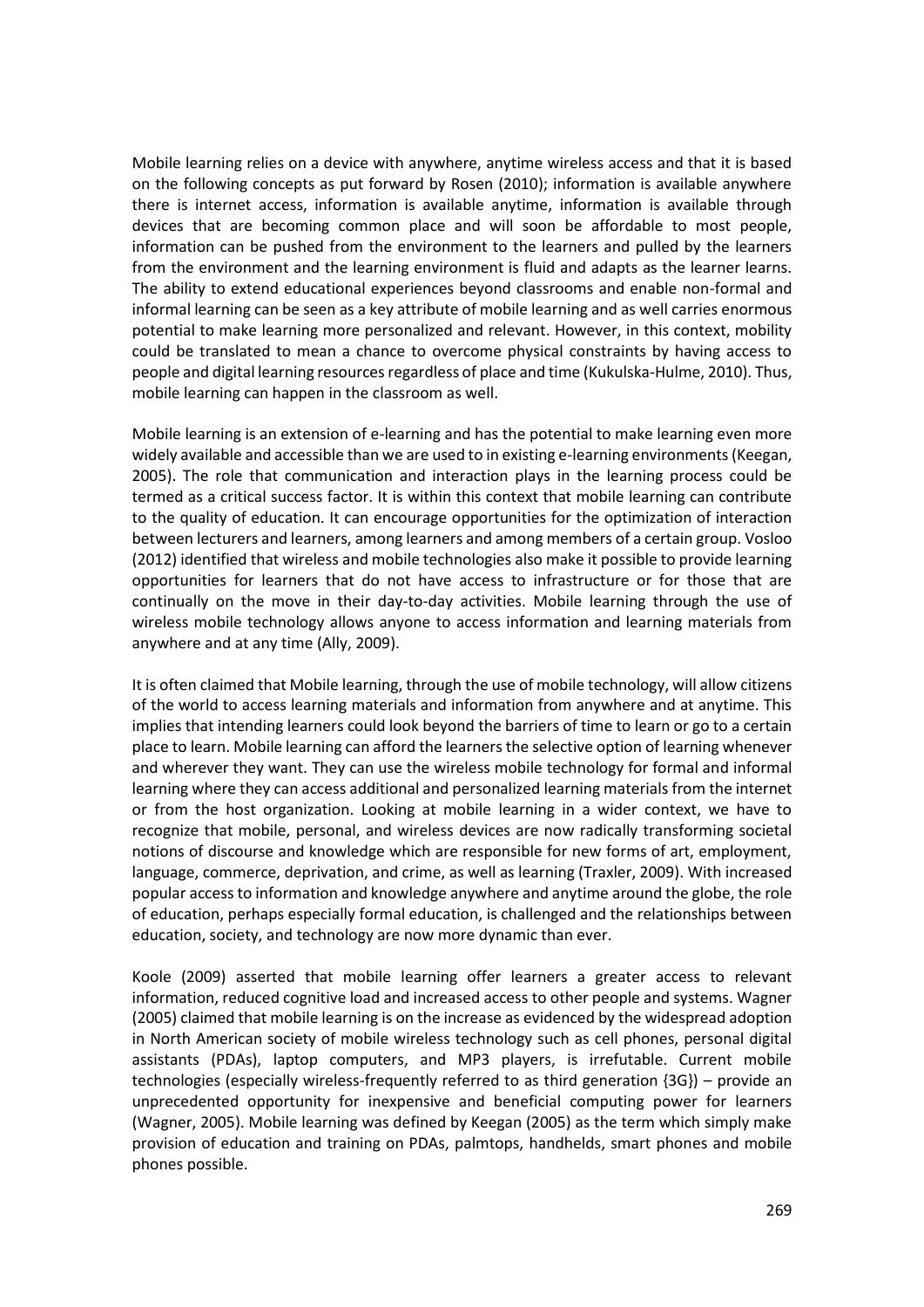Mobile learning relies on a device with anywhere, anytime wireless access and that it is based on the following concepts as put forward by Rosen (2010); information is available anywhere there is internet access, information is available anytime, information is available through devices that are becoming common place and will soon be affordable to most people, information can be pushed from the environment to the learners and pulled by the learners from the environment and the learning environment is fluid and adapts as the learner learns. The ability to extend educational experiences beyond classrooms and enable non-formal and informal learning can be seen as a key attribute of mobile learning and as well carries enormous potential to make learning more personalized and relevant. However, in this context, mobility could be translated to mean a chance to overcome physical constraints by having access to people and digital learning resources regardless of place and time (Kukulska-Hulme, 2010). Thus, mobile learning can happen in the classroom as well.

Mobile learning is an extension of e-learning and has the potential to make learning even more widely available and accessible than we are used to in existing e-learning environments (Keegan, 2005). The role that communication and interaction plays in the learning process could be termed as a critical success factor. It is within this context that mobile learning can contribute to the quality of education. It can encourage opportunities for the optimization of interaction between lecturers and learners, among learners and among members of a certain group. Vosloo (2012) identified that wireless and mobile technologies also make it possible to provide learning opportunities for learners that do not have access to infrastructure or for those that are continually on the move in their day-to-day activities. Mobile learning through the use of wireless mobile technology allows anyone to access information and learning materials from anywhere and at any time (Ally, 2009).

It is often claimed that Mobile learning, through the use of mobile technology, will allow citizens of the world to access learning materials and information from anywhere and at anytime. This implies that intending learners could look beyond the barriers of time to learn or go to a certain place to learn. Mobile learning can afford the learners the selective option of learning whenever and wherever they want. They can use the wireless mobile technology for formal and informal learning where they can access additional and personalized learning materials from the internet or from the host organization. Looking at mobile learning in a wider context, we have to recognize that mobile, personal, and wireless devices are now radically transforming societal notions of discourse and knowledge which are responsible for new forms of art, employment, language, commerce, deprivation, and crime, as well as learning (Traxler, 2009). With increased popular access to information and knowledge anywhere and anytime around the globe, the role of education, perhaps especially formal education, is challenged and the relationships between education, society, and technology are now more dynamic than ever.

Koole (2009) asserted that mobile learning offer learners a greater access to relevant information, reduced cognitive load and increased access to other people and systems. Wagner (2005) claimed that mobile learning is on the increase as evidenced by the widespread adoption in North American society of mobile wireless technology such as cell phones, personal digital assistants (PDAs), laptop computers, and MP3 players, is irrefutable. Current mobile technologies (especially wireless-frequently referred to as third generation {3G}) – provide an unprecedented opportunity for inexpensive and beneficial computing power for learners (Wagner, 2005). Mobile learning was defined by Keegan (2005) as the term which simply make provision of education and training on PDAs, palmtops, handhelds, smart phones and mobile phones possible.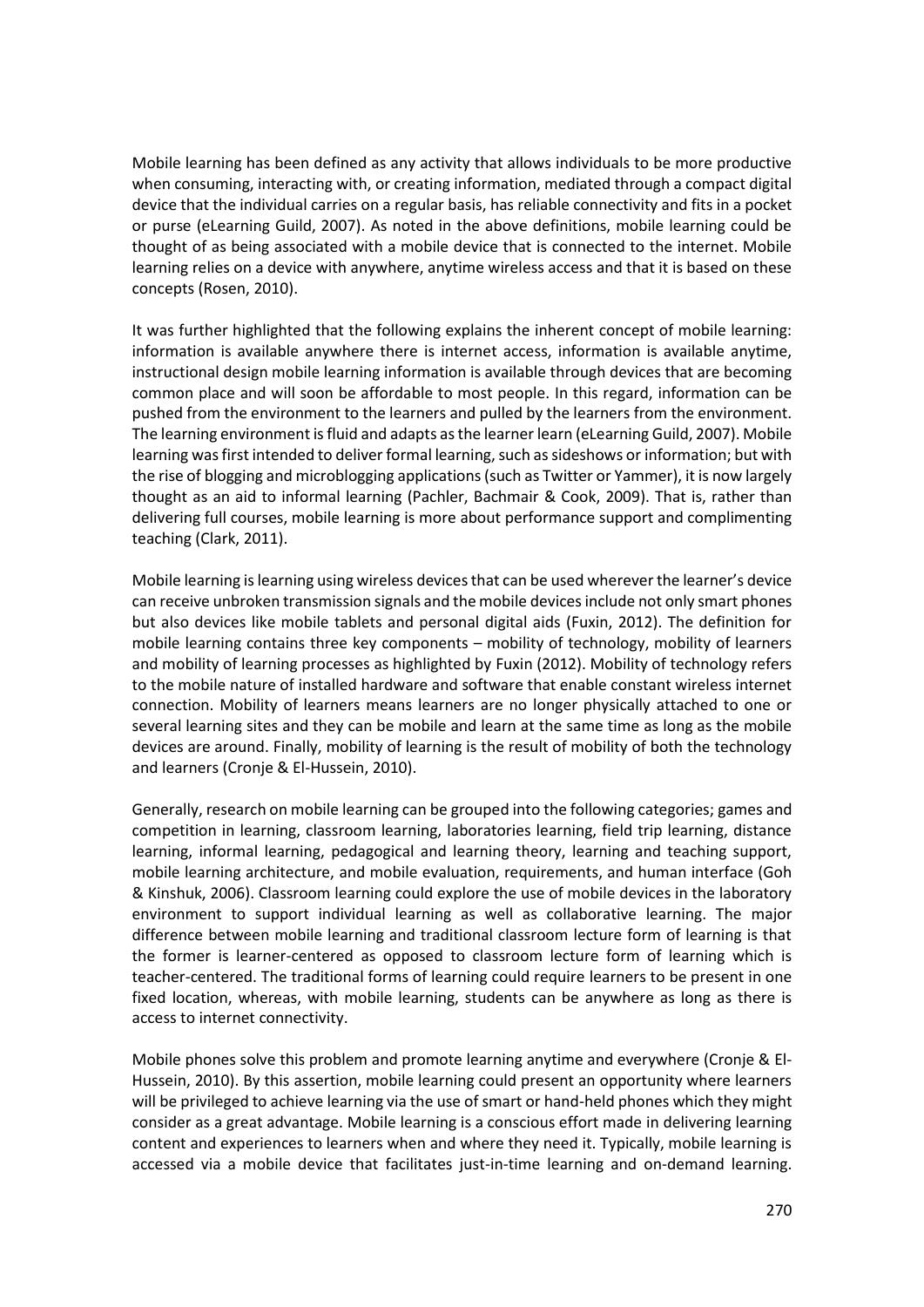Mobile learning has been defined as any activity that allows individuals to be more productive when consuming, interacting with, or creating information, mediated through a compact digital device that the individual carries on a regular basis, has reliable connectivity and fits in a pocket or purse (eLearning Guild, 2007). As noted in the above definitions, mobile learning could be thought of as being associated with a mobile device that is connected to the internet. Mobile learning relies on a device with anywhere, anytime wireless access and that it is based on these concepts (Rosen, 2010).

It was further highlighted that the following explains the inherent concept of mobile learning: information is available anywhere there is internet access, information is available anytime, instructional design mobile learning information is available through devices that are becoming common place and will soon be affordable to most people. In this regard, information can be pushed from the environment to the learners and pulled by the learners from the environment. The learning environment is fluid and adapts as the learner learn (eLearning Guild, 2007). Mobile learning was first intended to deliver formal learning, such as sideshows or information; but with the rise of blogging and microblogging applications (such as Twitter or Yammer), it is now largely thought as an aid to informal learning (Pachler, Bachmair & Cook, 2009). That is, rather than delivering full courses, mobile learning is more about performance support and complimenting teaching (Clark, 2011).

Mobile learning is learning using wireless devices that can be used wherever the learner's device can receive unbroken transmission signals and the mobile devices include not only smart phones but also devices like mobile tablets and personal digital aids (Fuxin, 2012). The definition for mobile learning contains three key components – mobility of technology, mobility of learners and mobility of learning processes as highlighted by Fuxin (2012). Mobility of technology refers to the mobile nature of installed hardware and software that enable constant wireless internet connection. Mobility of learners means learners are no longer physically attached to one or several learning sites and they can be mobile and learn at the same time as long as the mobile devices are around. Finally, mobility of learning is the result of mobility of both the technology and learners (Cronje & El-Hussein, 2010).

Generally, research on mobile learning can be grouped into the following categories; games and competition in learning, classroom learning, laboratories learning, field trip learning, distance learning, informal learning, pedagogical and learning theory, learning and teaching support, mobile learning architecture, and mobile evaluation, requirements, and human interface (Goh & Kinshuk, 2006). Classroom learning could explore the use of mobile devices in the laboratory environment to support individual learning as well as collaborative learning. The major difference between mobile learning and traditional classroom lecture form of learning is that the former is learner-centered as opposed to classroom lecture form of learning which is teacher-centered. The traditional forms of learning could require learners to be present in one fixed location, whereas, with mobile learning, students can be anywhere as long as there is access to internet connectivity.

Mobile phones solve this problem and promote learning anytime and everywhere (Cronje & El-Hussein, 2010). By this assertion, mobile learning could present an opportunity where learners will be privileged to achieve learning via the use of smart or hand-held phones which they might consider as a great advantage. Mobile learning is a conscious effort made in delivering learning content and experiences to learners when and where they need it. Typically, mobile learning is accessed via a mobile device that facilitates just-in-time learning and on-demand learning.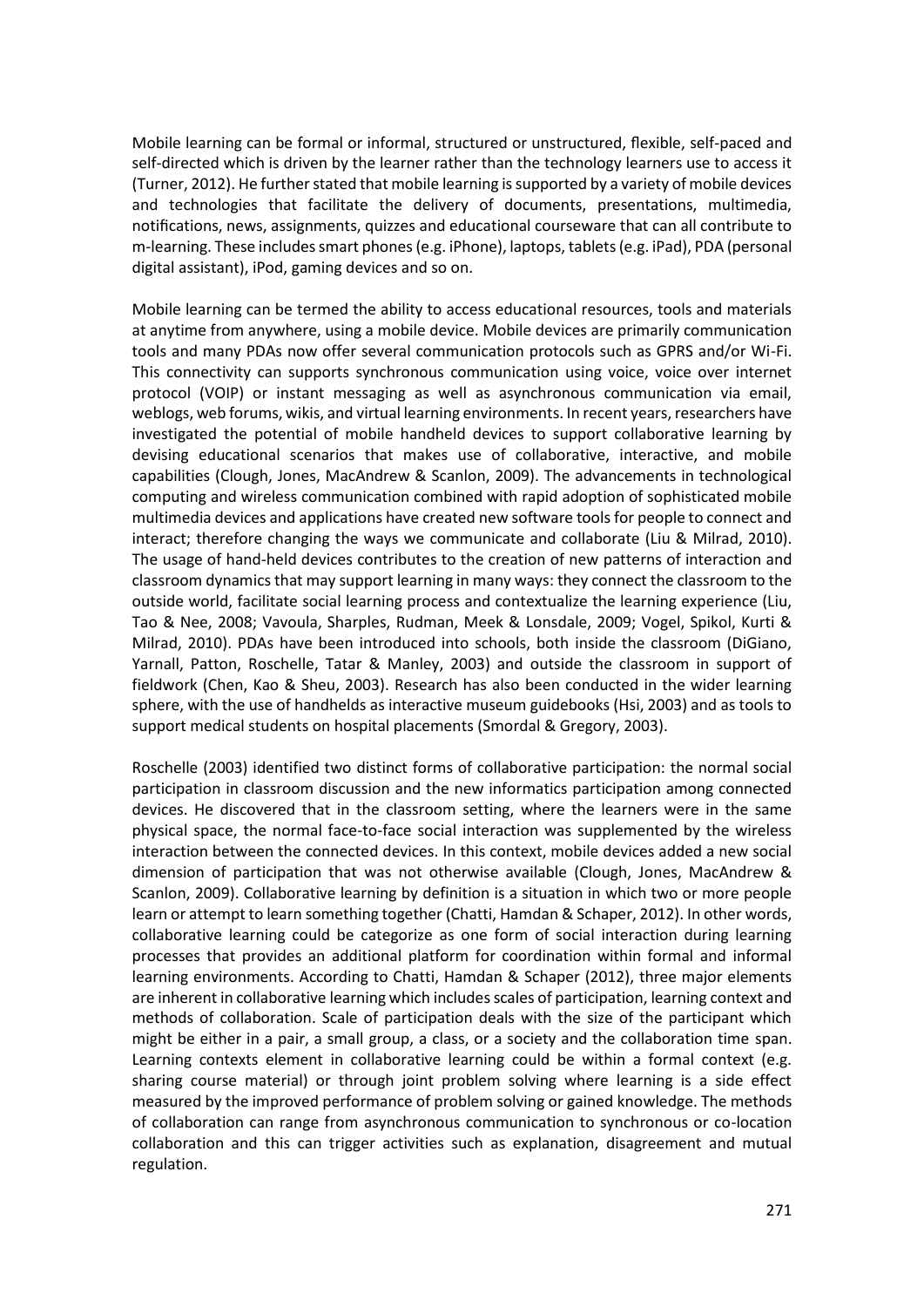Mobile learning can be formal or informal, structured or unstructured, flexible, self-paced and self-directed which is driven by the learner rather than the technology learners use to access it (Turner, 2012). He further stated that mobile learning is supported by a variety of mobile devices and technologies that facilitate the delivery of documents, presentations, multimedia, notifications, news, assignments, quizzes and educational courseware that can all contribute to m-learning. These includes smart phones (e.g. iPhone), laptops, tablets (e.g. iPad), PDA (personal digital assistant), iPod, gaming devices and so on.

Mobile learning can be termed the ability to access educational resources, tools and materials at anytime from anywhere, using a mobile device. Mobile devices are primarily communication tools and many PDAs now offer several communication protocols such as GPRS and/or Wi-Fi. This connectivity can supports synchronous communication using voice, voice over internet protocol (VOIP) or instant messaging as well as asynchronous communication via email, weblogs, web forums, wikis, and virtual learning environments. In recent years, researchers have investigated the potential of mobile handheld devices to support collaborative learning by devising educational scenarios that makes use of collaborative, interactive, and mobile capabilities (Clough, Jones, MacAndrew & Scanlon, 2009). The advancements in technological computing and wireless communication combined with rapid adoption of sophisticated mobile multimedia devices and applications have created new software tools for people to connect and interact; therefore changing the ways we communicate and collaborate (Liu & Milrad, 2010). The usage of hand-held devices contributes to the creation of new patterns of interaction and classroom dynamics that may support learning in many ways: they connect the classroom to the outside world, facilitate social learning process and contextualize the learning experience (Liu, Tao & Nee, 2008; Vavoula, Sharples, Rudman, Meek & Lonsdale, 2009; Vogel, Spikol, Kurti & Milrad, 2010). PDAs have been introduced into schools, both inside the classroom (DiGiano, Yarnall, Patton, Roschelle, Tatar & Manley, 2003) and outside the classroom in support of fieldwork (Chen, Kao & Sheu, 2003). Research has also been conducted in the wider learning sphere, with the use of handhelds as interactive museum guidebooks (Hsi, 2003) and as tools to support medical students on hospital placements (Smordal & Gregory, 2003).

Roschelle (2003) identified two distinct forms of collaborative participation: the normal social participation in classroom discussion and the new informatics participation among connected devices. He discovered that in the classroom setting, where the learners were in the same physical space, the normal face-to-face social interaction was supplemented by the wireless interaction between the connected devices. In this context, mobile devices added a new social dimension of participation that was not otherwise available (Clough, Jones, MacAndrew & Scanlon, 2009). Collaborative learning by definition is a situation in which two or more people learn or attempt to learn something together (Chatti, Hamdan & Schaper, 2012). In other words, collaborative learning could be categorize as one form of social interaction during learning processes that provides an additional platform for coordination within formal and informal learning environments. According to Chatti, Hamdan & Schaper (2012), three major elements are inherent in collaborative learning which includes scales of participation, learning context and methods of collaboration. Scale of participation deals with the size of the participant which might be either in a pair, a small group, a class, or a society and the collaboration time span. Learning contexts element in collaborative learning could be within a formal context (e.g. sharing course material) or through joint problem solving where learning is a side effect measured by the improved performance of problem solving or gained knowledge. The methods of collaboration can range from asynchronous communication to synchronous or co-location collaboration and this can trigger activities such as explanation, disagreement and mutual regulation.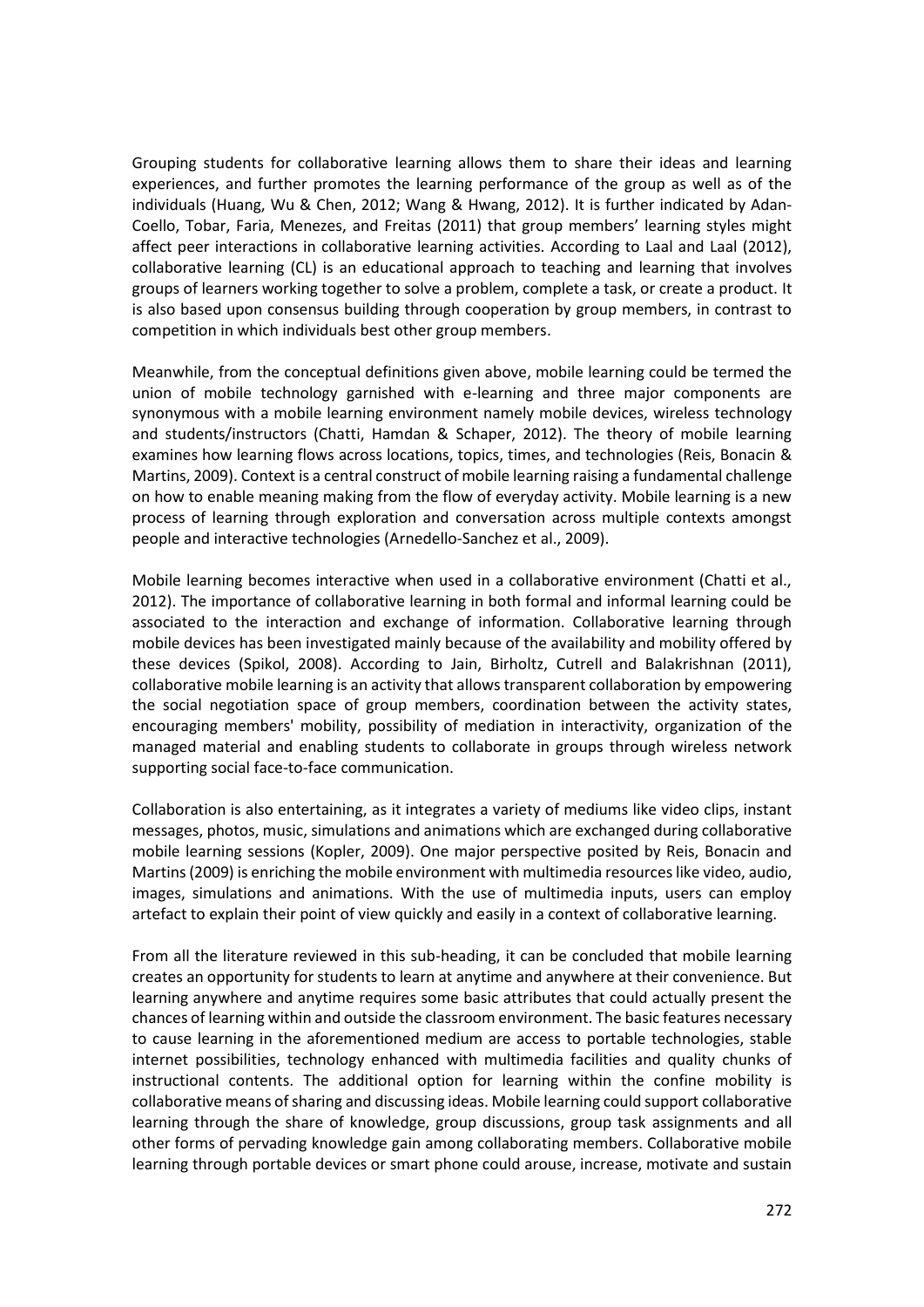Grouping students for collaborative learning allows them to share their ideas and learning experiences, and further promotes the learning performance of the group as well as of the individuals (Huang, Wu & Chen, 2012; Wang & Hwang, 2012). It is further indicated by Adan-Coello, Tobar, Faria, Menezes, and Freitas (2011) that group members' learning styles might affect peer interactions in collaborative learning activities. According to Laal and Laal (2012), collaborative learning (CL) is an educational approach to teaching and learning that involves groups of learners working together to solve a problem, complete a task, or create a product. It is also based upon consensus building through cooperation by group members, in contrast to competition in which individuals best other group members.

Meanwhile, from the conceptual definitions given above, mobile learning could be termed the union of mobile technology garnished with e-learning and three major components are synonymous with a mobile learning environment namely mobile devices, wireless technology and students/instructors (Chatti, Hamdan & Schaper, 2012). The theory of mobile learning examines how learning flows across locations, topics, times, and technologies (Reis, Bonacin & Martins, 2009). Context is a central construct of mobile learning raising a fundamental challenge on how to enable meaning making from the flow of everyday activity. Mobile learning is a new process of learning through exploration and conversation across multiple contexts amongst people and interactive technologies (Arnedello-Sanchez et al., 2009).

Mobile learning becomes interactive when used in a collaborative environment (Chatti et al., 2012). The importance of collaborative learning in both formal and informal learning could be associated to the interaction and exchange of information. Collaborative learning through mobile devices has been investigated mainly because of the availability and mobility offered by these devices (Spikol, 2008). According to Jain, Birholtz, Cutrell and Balakrishnan (2011), collaborative mobile learning is an activity that allows transparent collaboration by empowering the social negotiation space of group members, coordination between the activity states, encouraging members' mobility, possibility of mediation in interactivity, organization of the managed material and enabling students to collaborate in groups through wireless network supporting social face-to-face communication.

Collaboration is also entertaining, as it integrates a variety of mediums like video clips, instant messages, photos, music, simulations and animations which are exchanged during collaborative mobile learning sessions (Kopler, 2009). One major perspective posited by Reis, Bonacin and Martins (2009) is enriching the mobile environment with multimedia resources like video, audio, images, simulations and animations. With the use of multimedia inputs, users can employ artefact to explain their point of view quickly and easily in a context of collaborative learning.

From all the literature reviewed in this sub-heading, it can be concluded that mobile learning creates an opportunity for students to learn at anytime and anywhere at their convenience. But learning anywhere and anytime requires some basic attributes that could actually present the chances of learning within and outside the classroom environment. The basic features necessary to cause learning in the aforementioned medium are access to portable technologies, stable internet possibilities, technology enhanced with multimedia facilities and quality chunks of instructional contents. The additional option for learning within the confine mobility is collaborative means of sharing and discussing ideas. Mobile learning could support collaborative learning through the share of knowledge, group discussions, group task assignments and all other forms of pervading knowledge gain among collaborating members. Collaborative mobile learning through portable devices or smart phone could arouse, increase, motivate and sustain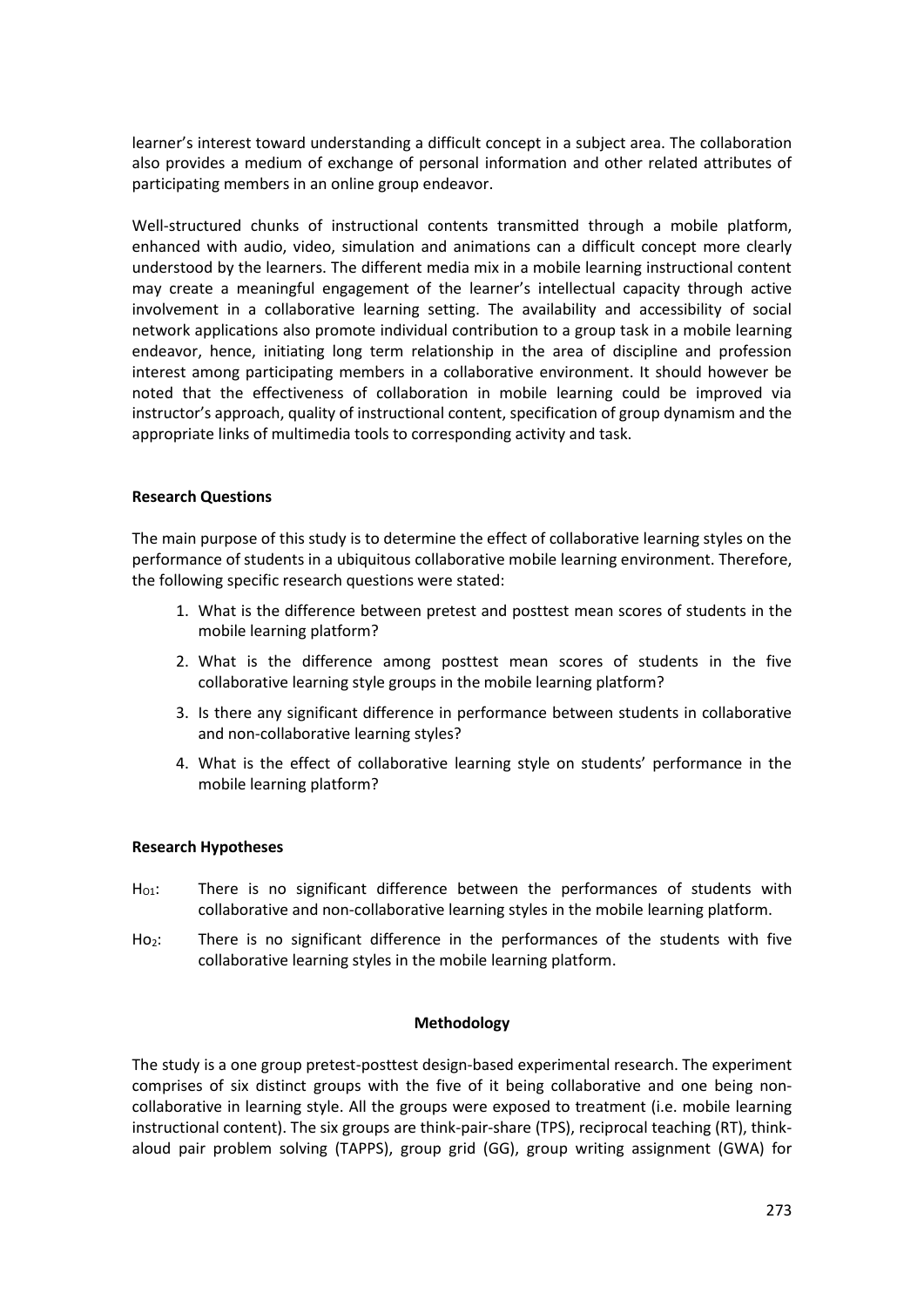learner's interest toward understanding a difficult concept in a subject area. The collaboration also provides a medium of exchange of personal information and other related attributes of participating members in an online group endeavor.

Well-structured chunks of instructional contents transmitted through a mobile platform, enhanced with audio, video, simulation and animations can a difficult concept more clearly understood by the learners. The different media mix in a mobile learning instructional content may create a meaningful engagement of the learner's intellectual capacity through active involvement in a collaborative learning setting. The availability and accessibility of social network applications also promote individual contribution to a group task in a mobile learning endeavor, hence, initiating long term relationship in the area of discipline and profession interest among participating members in a collaborative environment. It should however be noted that the effectiveness of collaboration in mobile learning could be improved via instructor's approach, quality of instructional content, specification of group dynamism and the appropriate links of multimedia tools to corresponding activity and task.

## **Research Questions**

The main purpose of this study is to determine the effect of collaborative learning styles on the performance of students in a ubiquitous collaborative mobile learning environment. Therefore, the following specific research questions were stated:

- 1. What is the difference between pretest and posttest mean scores of students in the mobile learning platform?
- 2. What is the difference among posttest mean scores of students in the five collaborative learning style groups in the mobile learning platform?
- 3. Is there any significant difference in performance between students in collaborative and non-collaborative learning styles?
- 4. What is the effect of collaborative learning style on students' performance in the mobile learning platform?

## **Research Hypotheses**

- $H<sub>01</sub>$ : There is no significant difference between the performances of students with collaborative and non-collaborative learning styles in the mobile learning platform.
- Ho<sub>2</sub>: There is no significant difference in the performances of the students with five collaborative learning styles in the mobile learning platform.

## **Methodology**

The study is a one group pretest-posttest design-based experimental research. The experiment comprises of six distinct groups with the five of it being collaborative and one being noncollaborative in learning style. All the groups were exposed to treatment (i.e. mobile learning instructional content). The six groups are think-pair-share (TPS), reciprocal teaching (RT), thinkaloud pair problem solving (TAPPS), group grid (GG), group writing assignment (GWA) for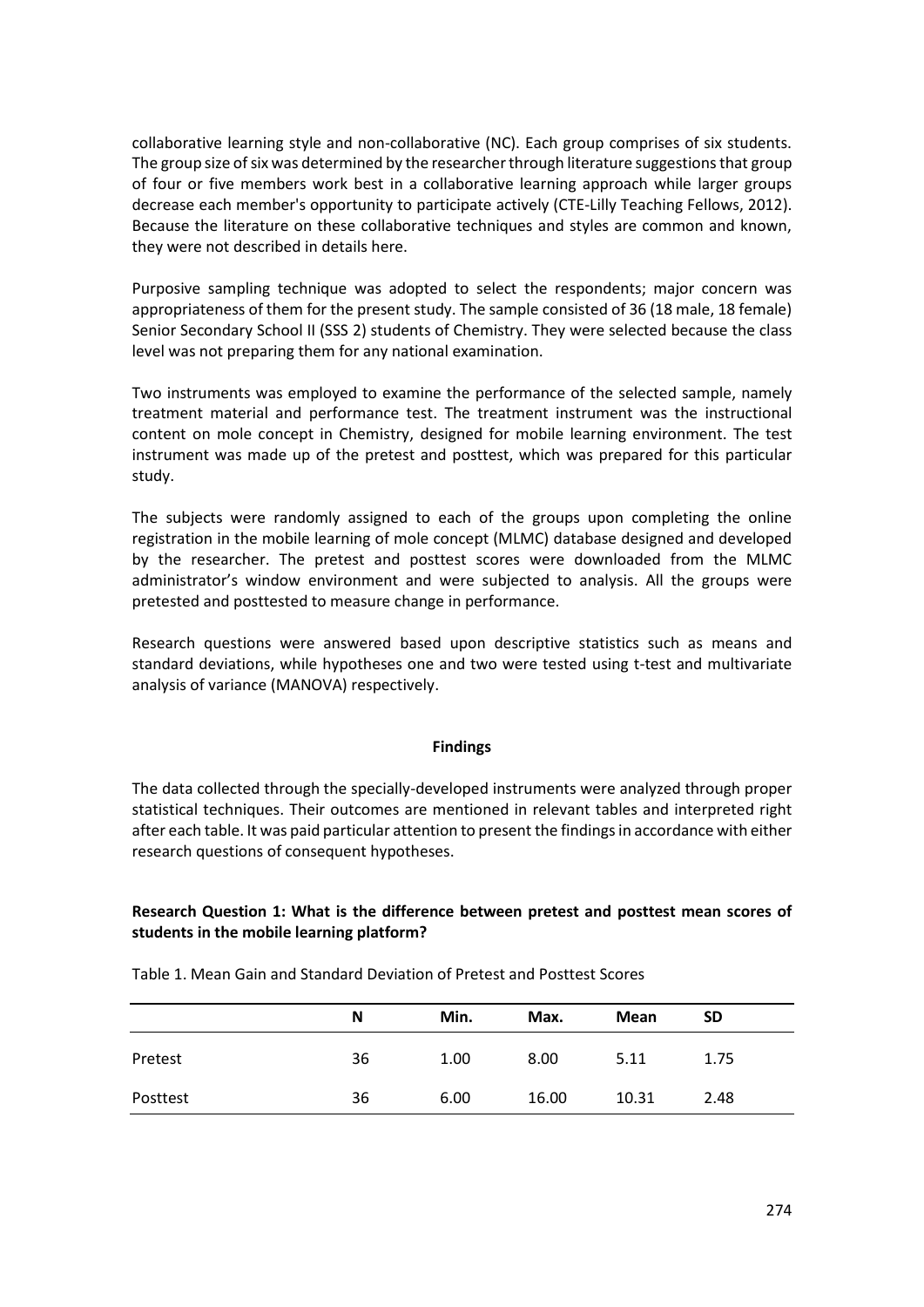collaborative learning style and non-collaborative (NC). Each group comprises of six students. The group size of six was determined by the researcher through literature suggestions that group of four or five members work best in a collaborative learning approach while larger groups decrease each member's opportunity to participate actively (CTE-Lilly Teaching Fellows, 2012). Because the literature on these collaborative techniques and styles are common and known, they were not described in details here.

Purposive sampling technique was adopted to select the respondents; major concern was appropriateness of them for the present study. The sample consisted of 36 (18 male, 18 female) Senior Secondary School II (SSS 2) students of Chemistry. They were selected because the class level was not preparing them for any national examination.

Two instruments was employed to examine the performance of the selected sample, namely treatment material and performance test. The treatment instrument was the instructional content on mole concept in Chemistry, designed for mobile learning environment. The test instrument was made up of the pretest and posttest, which was prepared for this particular study.

The subjects were randomly assigned to each of the groups upon completing the online registration in the mobile learning of mole concept (MLMC) database designed and developed by the researcher. The pretest and posttest scores were downloaded from the MLMC administrator's window environment and were subjected to analysis. All the groups were pretested and posttested to measure change in performance.

Research questions were answered based upon descriptive statistics such as means and standard deviations, while hypotheses one and two were tested using t-test and multivariate analysis of variance (MANOVA) respectively.

## **Findings**

The data collected through the specially-developed instruments were analyzed through proper statistical techniques. Their outcomes are mentioned in relevant tables and interpreted right after each table. It was paid particular attention to present the findings in accordance with either research questions of consequent hypotheses.

# **Research Question 1: What is the difference between pretest and posttest mean scores of students in the mobile learning platform?**

|          | N  | Min. | Max.  | Mean  | <b>SD</b> |
|----------|----|------|-------|-------|-----------|
| Pretest  | 36 | 1.00 | 8.00  | 5.11  | 1.75      |
| Posttest | 36 | 6.00 | 16.00 | 10.31 | 2.48      |

Table 1. Mean Gain and Standard Deviation of Pretest and Posttest Scores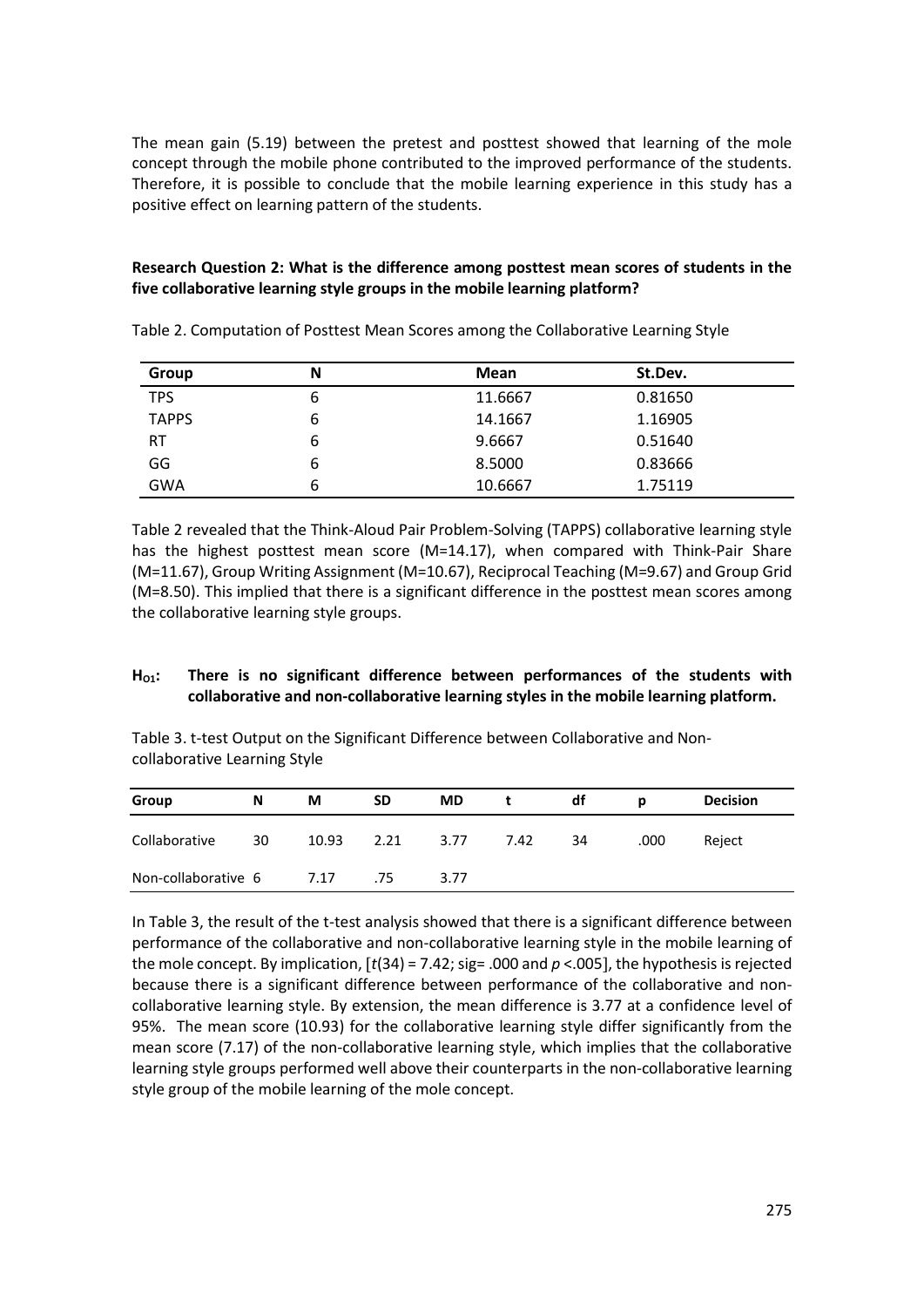The mean gain (5.19) between the pretest and posttest showed that learning of the mole concept through the mobile phone contributed to the improved performance of the students. Therefore, it is possible to conclude that the mobile learning experience in this study has a positive effect on learning pattern of the students.

## **Research Question 2: What is the difference among posttest mean scores of students in the five collaborative learning style groups in the mobile learning platform?**

| <b>Group</b> | N | Mean    | St.Dev. |
|--------------|---|---------|---------|
| <b>TPS</b>   | 6 | 11.6667 | 0.81650 |
| <b>TAPPS</b> | 6 | 14.1667 | 1.16905 |
| <b>RT</b>    | 6 | 9.6667  | 0.51640 |
| GG           | 6 | 8.5000  | 0.83666 |
| <b>GWA</b>   | 6 | 10.6667 | 1.75119 |

Table 2. Computation of Posttest Mean Scores among the Collaborative Learning Style

Table 2 revealed that the Think-Aloud Pair Problem-Solving (TAPPS) collaborative learning style has the highest posttest mean score (M=14.17), when compared with Think-Pair Share (M=11.67), Group Writing Assignment (M=10.67), Reciprocal Teaching (M=9.67) and Group Grid (M=8.50). This implied that there is a significant difference in the posttest mean scores among the collaborative learning style groups.

## **HO1: There is no significant difference between performances of the students with collaborative and non-collaborative learning styles in the mobile learning platform.**

Table 3. t-test Output on the Significant Difference between Collaborative and Noncollaborative Learning Style

| Group               | N  | М     | <b>SD</b> | <b>MD</b> | t    | df | D    | <b>Decision</b> |
|---------------------|----|-------|-----------|-----------|------|----|------|-----------------|
| Collaborative       | 30 | 10.93 | 2.21      | 3.77      | 7.42 | 34 | .000 | Reject          |
| Non-collaborative 6 |    | 7.17  | .75       | 3.77      |      |    |      |                 |

In Table 3, the result of the t-test analysis showed that there is a significant difference between performance of the collaborative and non-collaborative learning style in the mobile learning of the mole concept. By implication,  $\lceil t(34) = 7.42$ ; sig= .000 and  $p < 0.005$ , the hypothesis is rejected because there is a significant difference between performance of the collaborative and noncollaborative learning style. By extension, the mean difference is 3.77 at a confidence level of 95%. The mean score (10.93) for the collaborative learning style differ significantly from the mean score (7.17) of the non-collaborative learning style, which implies that the collaborative learning style groups performed well above their counterparts in the non-collaborative learning style group of the mobile learning of the mole concept.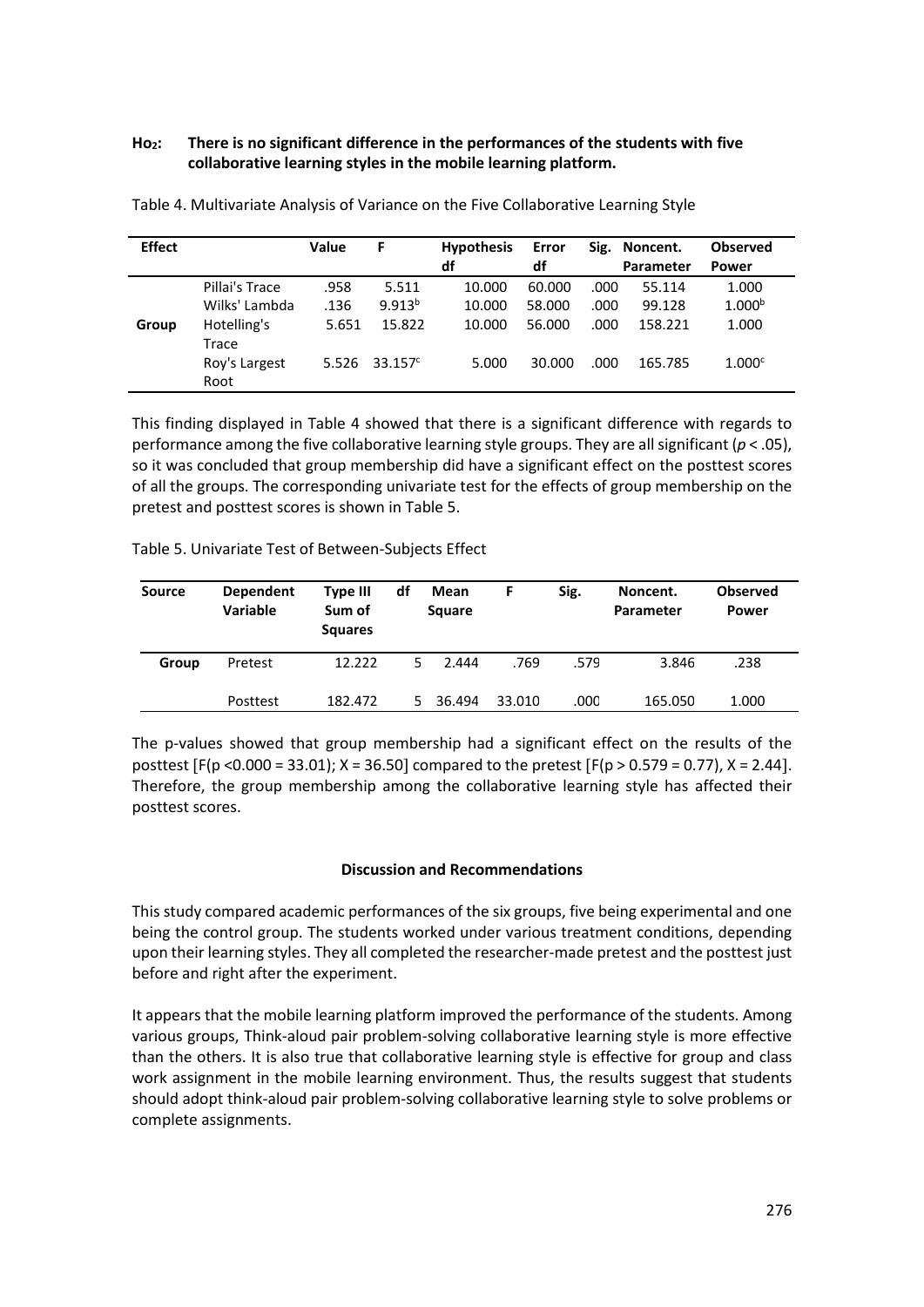# **Ho2: There is no significant difference in the performances of the students with five collaborative learning styles in the mobile learning platform.**

| <b>Effect</b> |                | Value | F           | <b>Hypothesis</b><br>df | Error<br>df |      | Sig. Noncent.    | <b>Observed</b>    |
|---------------|----------------|-------|-------------|-------------------------|-------------|------|------------------|--------------------|
|               |                |       |             |                         |             |      | <b>Parameter</b> | <b>Power</b>       |
|               | Pillai's Trace | .958  | 5.511       | 10.000                  | 60.000      | .000 | 55.114           | 1.000              |
|               | Wilks' Lambda  | .136  | $9.913^{b}$ | 10.000                  | 58.000      | .000 | 99.128           | 1.000 <sup>b</sup> |
| Group         | Hotelling's    | 5.651 | 15.822      | 10.000                  | 56.000      | .000 | 158.221          | 1.000              |
|               | Trace          |       |             |                         |             |      |                  |                    |
|               | Roy's Largest  | 5.526 | $33.157^c$  | 5.000                   | 30.000      | .000 | 165.785          | 1.000c             |
|               | Root           |       |             |                         |             |      |                  |                    |

Table 4. Multivariate Analysis of Variance on the Five Collaborative Learning Style

This finding displayed in Table 4 showed that there is a significant difference with regards to performance among the five collaborative learning style groups. They are all significant ( $p < .05$ ), so it was concluded that group membership did have a significant effect on the posttest scores of all the groups. The corresponding univariate test for the effects of group membership on the pretest and posttest scores is shown in Table 5.

Table 5. Univariate Test of Between-Subjects Effect

| Source | <b>Dependent</b><br><b>Variable</b> | <b>Type III</b><br>Sum of<br><b>Squares</b> | df | Mean<br><b>Square</b> | F      | Sig. | Noncent.<br>Parameter | <b>Observed</b><br>Power |
|--------|-------------------------------------|---------------------------------------------|----|-----------------------|--------|------|-----------------------|--------------------------|
| Group  | Pretest                             | 12.222                                      | 5. | 2.444                 | .769   | .579 | 3.846                 | .238                     |
|        | Posttest                            | 182.472                                     |    | 5 36.494              | 33.010 | .000 | 165.050               | 1.000                    |

The p-values showed that group membership had a significant effect on the results of the posttest  $[F(p \le 0.000 = 33.01); X = 36.50]$  compared to the pretest  $[F(p > 0.579 = 0.77), X = 2.44]$ . Therefore, the group membership among the collaborative learning style has affected their posttest scores.

## **Discussion and Recommendations**

This study compared academic performances of the six groups, five being experimental and one being the control group. The students worked under various treatment conditions, depending upon their learning styles. They all completed the researcher-made pretest and the posttest just before and right after the experiment.

It appears that the mobile learning platform improved the performance of the students. Among various groups, Think-aloud pair problem-solving collaborative learning style is more effective than the others. It is also true that collaborative learning style is effective for group and class work assignment in the mobile learning environment. Thus, the results suggest that students should adopt think-aloud pair problem-solving collaborative learning style to solve problems or complete assignments.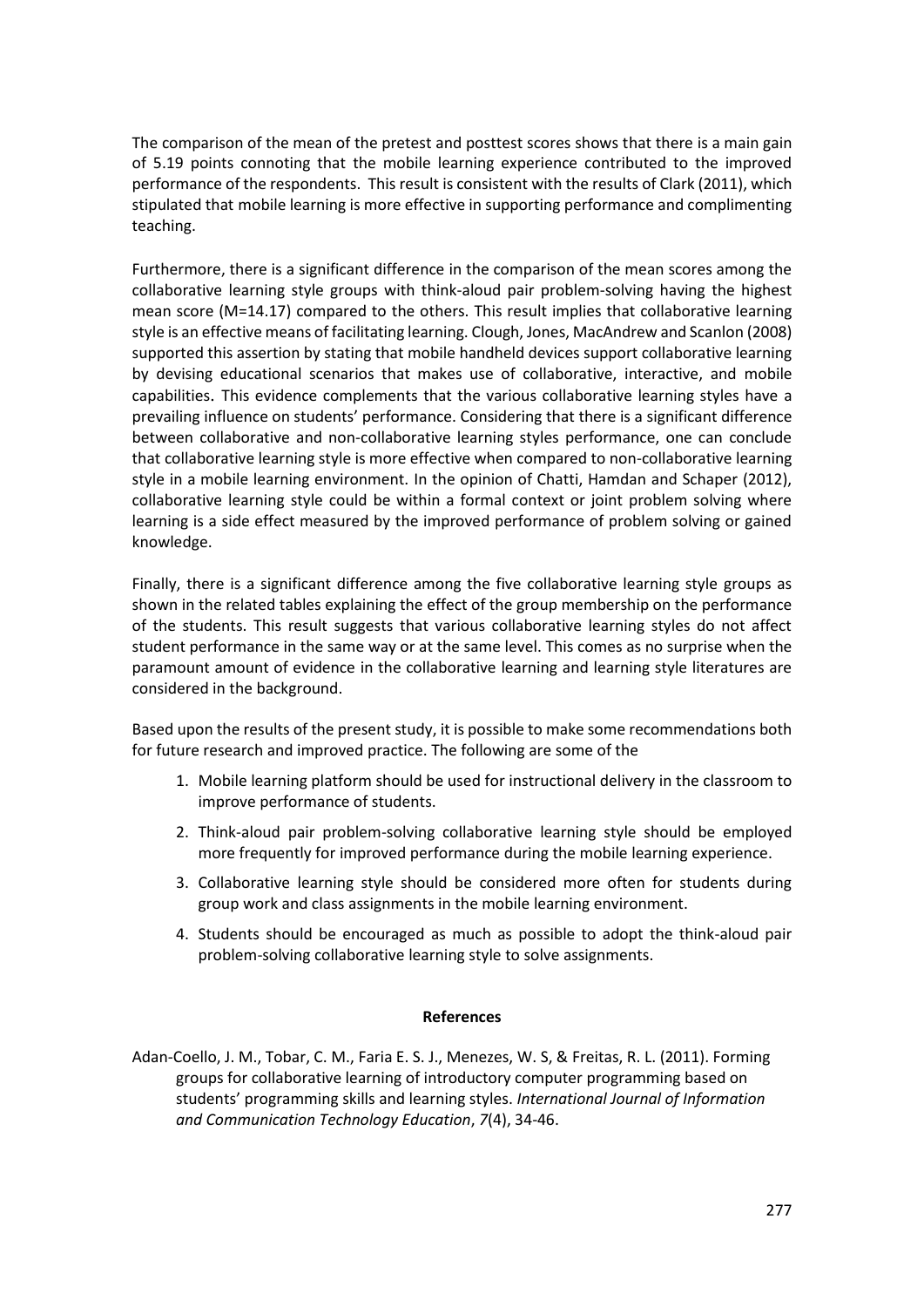The comparison of the mean of the pretest and posttest scores shows that there is a main gain of 5.19 points connoting that the mobile learning experience contributed to the improved performance of the respondents. This result is consistent with the results of Clark (2011), which stipulated that mobile learning is more effective in supporting performance and complimenting teaching.

Furthermore, there is a significant difference in the comparison of the mean scores among the collaborative learning style groups with think-aloud pair problem-solving having the highest mean score (M=14.17) compared to the others. This result implies that collaborative learning style is an effective means of facilitating learning. Clough, Jones, MacAndrew and Scanlon (2008) supported this assertion by stating that mobile handheld devices support collaborative learning by devising educational scenarios that makes use of collaborative, interactive, and mobile capabilities. This evidence complements that the various collaborative learning styles have a prevailing influence on students' performance. Considering that there is a significant difference between collaborative and non-collaborative learning styles performance, one can conclude that collaborative learning style is more effective when compared to non-collaborative learning style in a mobile learning environment. In the opinion of Chatti, Hamdan and Schaper (2012), collaborative learning style could be within a formal context or joint problem solving where learning is a side effect measured by the improved performance of problem solving or gained knowledge.

Finally, there is a significant difference among the five collaborative learning style groups as shown in the related tables explaining the effect of the group membership on the performance of the students. This result suggests that various collaborative learning styles do not affect student performance in the same way or at the same level. This comes as no surprise when the paramount amount of evidence in the collaborative learning and learning style literatures are considered in the background.

Based upon the results of the present study, it is possible to make some recommendations both for future research and improved practice. The following are some of the

- 1. Mobile learning platform should be used for instructional delivery in the classroom to improve performance of students.
- 2. Think-aloud pair problem-solving collaborative learning style should be employed more frequently for improved performance during the mobile learning experience.
- 3. Collaborative learning style should be considered more often for students during group work and class assignments in the mobile learning environment.
- 4. Students should be encouraged as much as possible to adopt the think-aloud pair problem-solving collaborative learning style to solve assignments.

#### **References**

Adan-Coello, J. M., Tobar, C. M., Faria E. S. J., Menezes, W. S, & Freitas, R. L. (2011). Forming groups for collaborative learning of introductory computer programming based on students' programming skills and learning styles. *International Journal of Information and Communication Technology Education*, *7*(4), 34-46.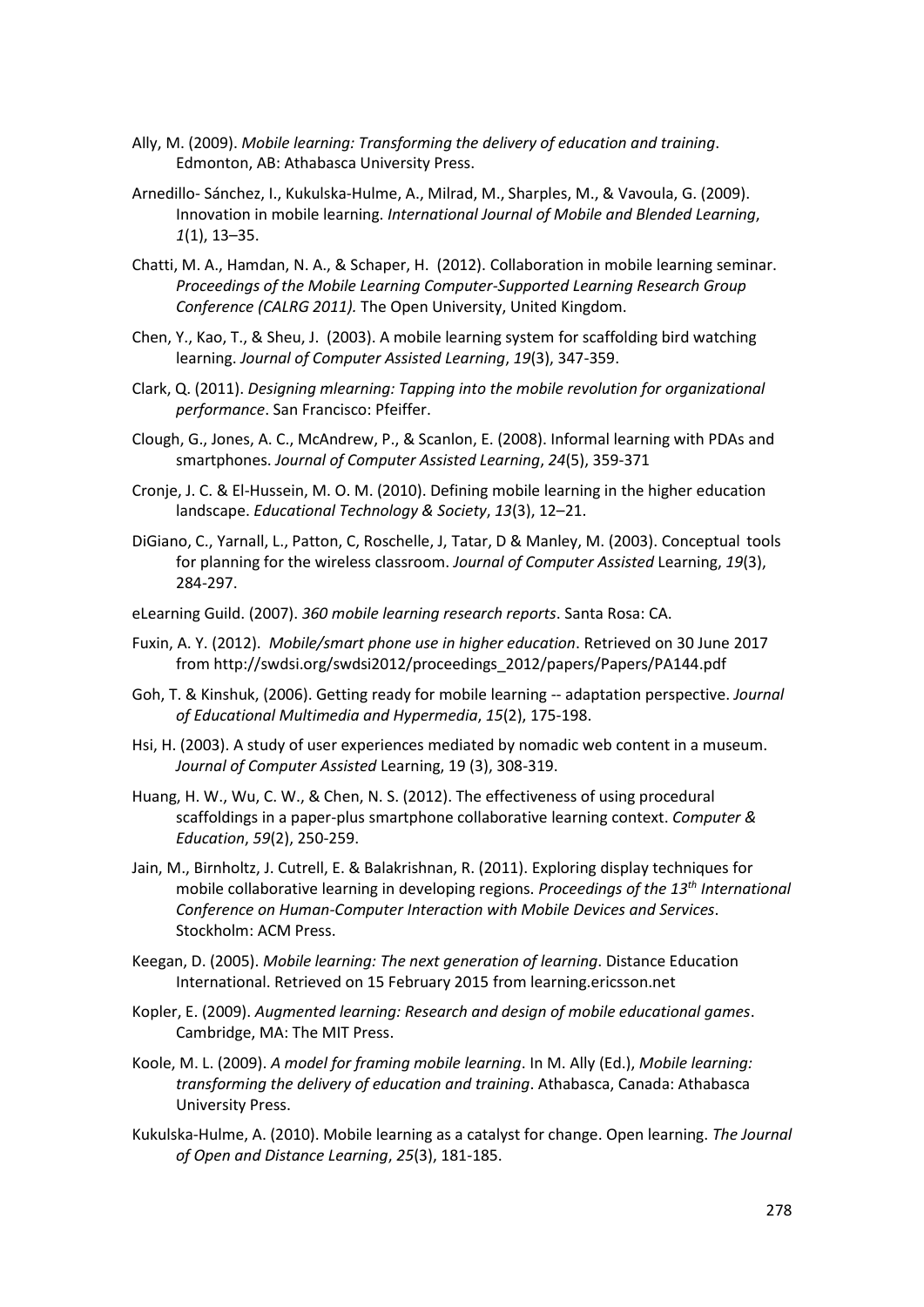- Ally, M. (2009). *Mobile learning: Transforming the delivery of education and training*. Edmonton, AB: Athabasca University Press.
- Arnedillo- Sánchez, I., Kukulska-Hulme, A., Milrad, M., Sharples, M., & Vavoula, G. (2009). Innovation in mobile learning. *International Journal of Mobile and Blended Learning*, *1*(1), 13–35.
- Chatti, M. A., Hamdan, N. A., & Schaper, H. (2012). Collaboration in mobile learning seminar. *Proceedings of the Mobile Learning Computer-Supported Learning Research Group Conference (CALRG 2011).* The Open University, United Kingdom.
- Chen, Y., Kao, T., & Sheu, J. (2003). A mobile learning system for scaffolding bird watching learning. *Journal of Computer Assisted Learning*, *19*(3), 347-359.
- Clark, Q. (2011). *Designing mlearning: Tapping into the mobile revolution for organizational performance*. San Francisco: Pfeiffer.
- Clough, G., Jones, A. C., McAndrew, P., & Scanlon, E. (2008). Informal learning with PDAs and smartphones. *Journal of Computer Assisted Learning*, *24*(5), 359-371
- Cronje, J. C. & El-Hussein, M. O. M. (2010). Defining mobile learning in the higher education landscape. *Educational Technology & Society*, *13*(3), 12–21.
- DiGiano, C., Yarnall, L., Patton, C, Roschelle, J, Tatar, D & Manley, M. (2003). Conceptual tools for planning for the wireless classroom. *Journal of Computer Assisted* Learning, *19*(3), 284-297.
- eLearning Guild. (2007). *360 mobile learning research reports*. Santa Rosa: CA.
- Fuxin, A. Y. (2012). *Mobile/smart phone use in higher education*. Retrieved on 30 June 2017 from http://swdsi.org/swdsi2012/proceedings\_2012/papers/Papers/PA144.pdf
- Goh, T. & Kinshuk, (2006). Getting ready for mobile learning -- adaptation perspective. *Journal of Educational Multimedia and Hypermedia*, *15*(2), 175-198.
- Hsi, H. (2003). A study of user experiences mediated by nomadic web content in a museum. *Journal of Computer Assisted* Learning, 19 (3), 308-319.
- Huang, H. W., Wu, C. W., & Chen, N. S. (2012). The effectiveness of using procedural scaffoldings in a paper-plus smartphone collaborative learning context. *Computer & Education*, *59*(2), 250-259.
- Jain, M., Birnholtz, J. Cutrell, E. & Balakrishnan, R. (2011). Exploring display techniques for mobile collaborative learning in developing regions. *Proceedings of the 13th International Conference on Human-Computer Interaction with Mobile Devices and Services*. Stockholm: ACM Press.
- Keegan, D. (2005). *Mobile learning: The next generation of learning*. Distance Education International. Retrieved on 15 February 2015 from learning.ericsson.net
- Kopler, E. (2009). *Augmented learning: Research and design of mobile educational games*. Cambridge, MA: The MIT Press.
- Koole, M. L. (2009). *A model for framing mobile learning*. In M. Ally (Ed.), *Mobile learning: transforming the delivery of education and training*. Athabasca, Canada: Athabasca University Press.
- Kukulska-Hulme, A. (2010). Mobile learning as a catalyst for change. Open learning. *The Journal of Open and Distance Learning*, *25*(3), 181-185.